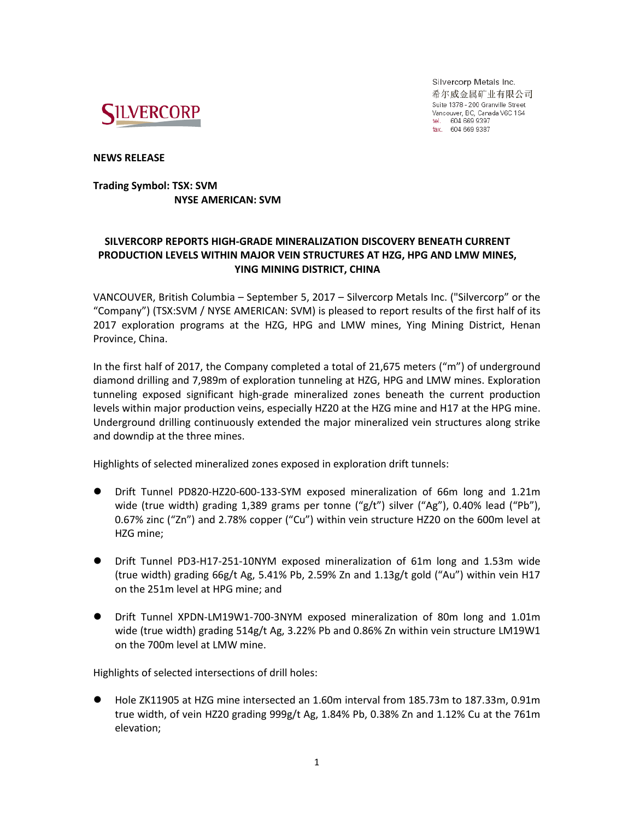

Silvercorp Metals Inc. 希尔威金属矿业有限公司 Suite 1378 - 200 Granville Street Vancouver, BC, Canada V6C 1S4 tel. 604 669 9397<br>fax. 604 669 9397

**NEWS RELEASE**

## **Trading Symbol: TSX: SVM NYSE AMERICAN: SVM**

# **SILVERCORP REPORTS HIGH-GRADE MINERALIZATION DISCOVERY BENEATH CURRENT PRODUCTION LEVELS WITHIN MAJOR VEIN STRUCTURES AT HZG, HPG AND LMW MINES, YING MINING DISTRICT, CHINA**

VANCOUVER, British Columbia – September 5, 2017 – Silvercorp Metals Inc. ("Silvercorp" or the "Company") (TSX:SVM / NYSE AMERICAN: SVM) is pleased to report results of the first half of its 2017 exploration programs at the HZG, HPG and LMW mines, Ying Mining District, Henan Province, China.

In the first half of 2017, the Company completed a total of 21,675 meters ("m") of underground diamond drilling and 7,989m of exploration tunneling at HZG, HPG and LMW mines. Exploration tunneling exposed significant high-grade mineralized zones beneath the current production levels within major production veins, especially HZ20 at the HZG mine and H17 at the HPG mine. Underground drilling continuously extended the major mineralized vein structures along strike and downdip at the three mines.

Highlights of selected mineralized zones exposed in exploration drift tunnels:

- Drift Tunnel PD820-HZ20-600-133-SYM exposed mineralization of 66m long and 1.21m wide (true width) grading 1,389 grams per tonne ("g/t") silver ("Ag"), 0.40% lead ("Pb"), 0.67% zinc ("Zn") and 2.78% copper ("Cu") within vein structure HZ20 on the 600m level at HZG mine;
- Drift Tunnel PD3-H17-251-10NYM exposed mineralization of 61m long and 1.53m wide (true width) grading 66g/t Ag, 5.41% Pb, 2.59% Zn and 1.13g/t gold ("Au") within vein H17 on the 251m level at HPG mine; and
- Drift Tunnel XPDN-LM19W1-700-3NYM exposed mineralization of 80m long and 1.01m wide (true width) grading 514g/t Ag, 3.22% Pb and 0.86% Zn within vein structure LM19W1 on the 700m level at LMW mine.

Highlights of selected intersections of drill holes:

 Hole ZK11905 at HZG mine intersected an 1.60m interval from 185.73m to 187.33m, 0.91m true width, of vein HZ20 grading 999g/t Ag, 1.84% Pb, 0.38% Zn and 1.12% Cu at the 761m elevation;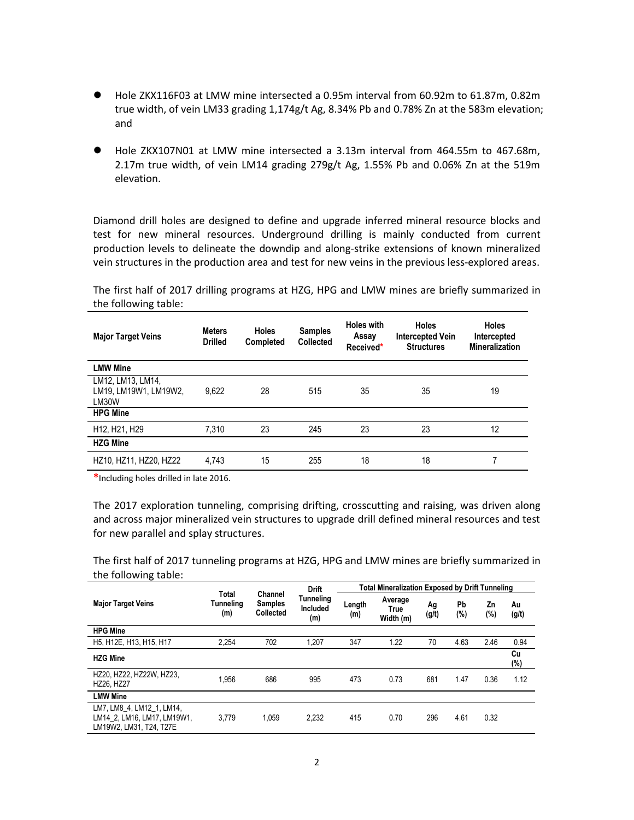- Hole ZKX116F03 at LMW mine intersected a 0.95m interval from 60.92m to 61.87m, 0.82m true width, of vein LM33 grading 1,174g/t Ag, 8.34% Pb and 0.78% Zn at the 583m elevation; and
- Hole ZKX107N01 at LMW mine intersected a 3.13m interval from 464.55m to 467.68m, 2.17m true width, of vein LM14 grading 279g/t Ag, 1.55% Pb and 0.06% Zn at the 519m elevation.

Diamond drill holes are designed to define and upgrade inferred mineral resource blocks and test for new mineral resources. Underground drilling is mainly conducted from current production levels to delineate the downdip and along-strike extensions of known mineralized vein structures in the production area and test for new veins in the previous less-explored areas.

The first half of 2017 drilling programs at HZG, HPG and LMW mines are briefly summarized in the following table:

| <b>Major Target Veins</b>                           | <b>Meters</b><br><b>Drilled</b> | <b>Holes</b><br><b>Completed</b> | <b>Samples</b><br><b>Collected</b> | <b>Holes with</b><br>Assay<br>Received* | <b>Holes</b><br><b>Intercepted Vein</b><br><b>Structures</b> | <b>Holes</b><br>Intercepted<br><b>Mineralization</b> |
|-----------------------------------------------------|---------------------------------|----------------------------------|------------------------------------|-----------------------------------------|--------------------------------------------------------------|------------------------------------------------------|
| LMW Mine                                            |                                 |                                  |                                    |                                         |                                                              |                                                      |
| LM12, LM13, LM14,<br>LM19, LM19W1, LM19W2,<br>LM30W | 9.622                           | 28                               | 515                                | 35                                      | 35                                                           | 19                                                   |
| <b>HPG Mine</b>                                     |                                 |                                  |                                    |                                         |                                                              |                                                      |
| H <sub>12</sub> , H <sub>21</sub> , H <sub>29</sub> | 7.310                           | 23                               | 245                                | 23                                      | 23                                                           | 12                                                   |
| <b>HZG Mine</b>                                     |                                 |                                  |                                    |                                         |                                                              |                                                      |
| HZ10, HZ11, HZ20, HZ22                              | 4.743                           | 15                               | 255                                | 18                                      | 18                                                           |                                                      |

**\***Including holes drilled in late 2016.

The 2017 exploration tunneling, comprising drifting, crosscutting and raising, was driven along and across major mineralized vein structures to upgrade drill defined mineral resources and test for new parallel and splay structures.

The first half of 2017 tunneling programs at HZG, HPG and LMW mines are briefly summarized in the following table:

|                                                                                         |                                  |                                        | <b>Drift</b>                 | <b>Total Mineralization Exposed by Drift Tunneling</b> |                              |             |           |           |             |
|-----------------------------------------------------------------------------------------|----------------------------------|----------------------------------------|------------------------------|--------------------------------------------------------|------------------------------|-------------|-----------|-----------|-------------|
| <b>Major Target Veins</b>                                                               | <b>Total</b><br>Tunnelina<br>(m) | Channel<br><b>Samples</b><br>Collected | Tunnelina<br>Included<br>(m) | Length<br>(m)                                          | Average<br>True<br>Width (m) | Ag<br>(g/t) | Pb<br>(%) | Zn<br>(%) | Au<br>(g/t) |
| <b>HPG Mine</b>                                                                         |                                  |                                        |                              |                                                        |                              |             |           |           |             |
| H <sub>5</sub> , H <sub>12</sub> E, H <sub>13</sub> , H <sub>15</sub> , H <sub>17</sub> | 2.254                            | 702                                    | 1.207                        | 347                                                    | 1.22                         | 70          | 4.63      | 2.46      | 0.94        |
| <b>HZG Mine</b>                                                                         |                                  |                                        |                              |                                                        |                              |             |           |           | Cu<br>(%)   |
| HZ20, HZ22, HZ22W, HZ23,<br>HZ26, HZ27                                                  | 1.956                            | 686                                    | 995                          | 473                                                    | 0.73                         | 681         | 1.47      | 0.36      | 1.12        |
| <b>LMW Mine</b>                                                                         |                                  |                                        |                              |                                                        |                              |             |           |           |             |
| LM7, LM8 4, LM12 1, LM14,<br>LM14 2, LM16, LM17, LM19W1,<br>LM19W2, LM31, T24, T27E     | 3.779                            | 1.059                                  | 2.232                        | 415                                                    | 0.70                         | 296         | 4.61      | 0.32      |             |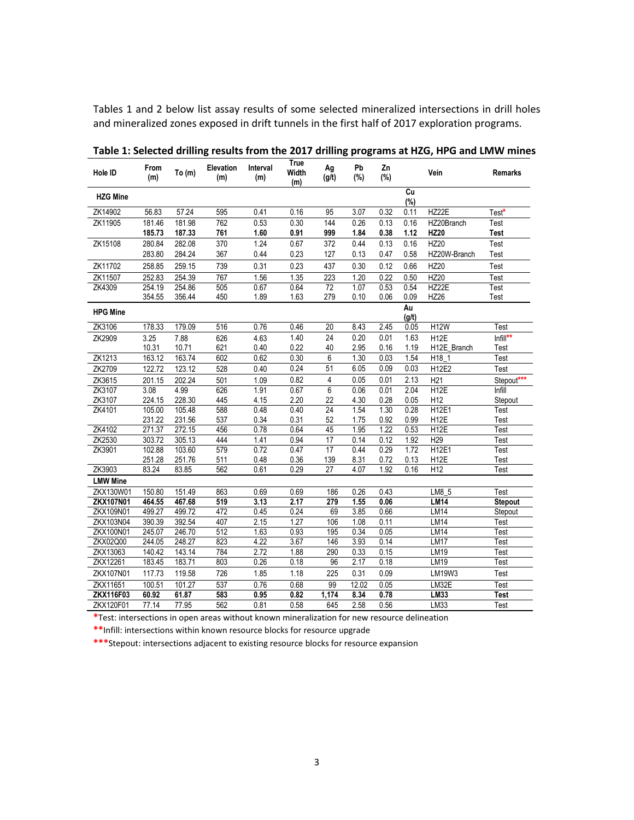Tables 1 and 2 below list assay results of some selected mineralized intersections in drill holes and mineralized zones exposed in drift tunnels in the first half of 2017 exploration programs.

| Hole ID          | From<br>(m) | To (m) | Elevation<br>(m) | Interval<br>(m) | True<br>Width<br>(m) | Ag<br>(g/t)     | Pb<br>$(\%)$ | Zn<br>$(\%)$ |                        | Vein              | Remarks        |
|------------------|-------------|--------|------------------|-----------------|----------------------|-----------------|--------------|--------------|------------------------|-------------------|----------------|
| <b>HZG Mine</b>  |             |        |                  |                 |                      |                 |              |              | $\overline{cu}$<br>(%) |                   |                |
| ZK14902          | 56.83       | 57.24  | 595              | 0.41            | 0.16                 | 95              | 3.07         | 0.32         | 0.11                   | HZ22E             | Test*          |
| ZK11905          | 181.46      | 181.98 | 762              | 0.53            | 0.30                 | 144             | 0.26         | 0.13         | 0.16                   | HZ20Branch        | Test           |
|                  | 185.73      | 187.33 | 761              | 1.60            | 0.91                 | 999             | 1.84         | 0.38         | 1.12                   | HZ20              | Test           |
| ZK15108          | 280.84      | 282.08 | 370              | 1.24            | 0.67                 | 372             | 0.44         | 0.13         | 0.16                   | <b>HZ20</b>       | Test           |
|                  | 283.80      | 284.24 | 367              | 0.44            | 0.23                 | 127             | 0.13         | 0.47         | 0.58                   | HZ20W-Branch      | Test           |
| ZK11702          | 258.85      | 259.15 | 739              | 0.31            | 0.23                 | 437             | 0.30         | 0.12         | 0.66                   | <b>HZ20</b>       | Test           |
| ZK11507          | 252.83      | 254.39 | 767              | 1.56            | 1.35                 | 223             | 1.20         | 0.22         | 0.50                   | <b>HZ20</b>       | Test           |
| ZK4309           | 254.19      | 254.86 | 505              | 0.67            | 0.64                 | 72              | 1.07         | 0.53         | 0.54                   | HZ22E             | Test           |
|                  | 354.55      | 356.44 | 450              | 1.89            | 1.63                 | 279             | 0.10         | 0.06         | 0.09                   | HZ26              | Test           |
| <b>HPG Mine</b>  |             |        |                  |                 |                      |                 |              |              | Au                     |                   |                |
|                  |             |        |                  |                 |                      |                 |              |              | (g/t)                  |                   |                |
| <b>ZK3106</b>    | 178.33      | 179.09 | 516              | 0.76            | 0.46                 | $\overline{20}$ | 8.43         | 2.45         | 0.05                   | <b>H12W</b>       | Test           |
| ZK2909           | 3.25        | 7.88   | 626              | 4.63            | 1.40                 | 24              | 0.20         | 0.01         | 1.63                   | H <sub>12</sub> E | Infill**       |
|                  | 10.31       | 10.71  | 621              | 0.40            | 0.22                 | 40              | 2.95         | 0.16         | 1.19                   | H12E Branch       | Test           |
| ZK1213           | 163.12      | 163.74 | 602              | 0.62            | 0.30                 | 6               | 1.30         | 0.03         | 1.54                   | H <sub>18_1</sub> | Test           |
| ZK2709           | 122.72      | 123.12 | 528              | 0.40            | 0.24                 | 51              | 6.05         | 0.09         | 0.03                   | H12E2             | Test           |
| ZK3615           | 201.15      | 202.24 | 501              | 1.09            | 0.82                 | 4               | 0.05         | 0.01         | 2.13                   | H <sub>21</sub>   | Stepout***     |
| ZK3107           | 3.08        | 4.99   | 626              | 1.91            | 0.67                 | 6               | 0.06         | 0.01         | 2.04                   | H <sub>12</sub> E | Infill         |
| ZK3107           | 224.15      | 228.30 | 445              | 4.15            | 2.20                 | 22              | 4.30         | 0.28         | 0.05                   | H12               | Stepout        |
| ZK4101           | 105.00      | 105.48 | 588              | 0.48            | 0.40                 | 24              | 1.54         | 1.30         | 0.28                   | H12E1             | Test           |
|                  | 231.22      | 231.56 | 537              | 0.34            | 0.31                 | 52              | 1.75         | 0.92         | 0.99                   | H <sub>12</sub> E | Test           |
| ZK4102           | 271.37      | 272.15 | 456              | 0.78            | 0.64                 | 45              | 1.95         | 1.22         | 0.53                   | H12E              | <b>Test</b>    |
| ZK2530           | 303.72      | 305.13 | 444              | 1.41            | 0.94                 | 17              | 0.14         | 0.12         | 1.92                   | H <sub>29</sub>   | Test           |
| ZK3901           | 102.88      | 103.60 | 579              | 0.72            | 0.47                 | 17              | 0.44         | 0.29         | 1.72                   | H12E1             | Test           |
|                  | 251.28      | 251.76 | 511              | 0.48            | 0.36                 | 139             | 8.31         | 0.72         | 0.13                   | H <sub>12</sub> E | Test           |
| ZK3903           | 83.24       | 83.85  | 562              | 0.61            | 0.29                 | $\overline{27}$ | 4.07         | 1.92         | 0.16                   | H12               | Test           |
| <b>LMW Mine</b>  |             |        |                  |                 |                      |                 |              |              |                        |                   |                |
| ZKX130W01        | 150.80      | 151.49 | 863              | 0.69            | 0.69                 | 186             | 0.26         | 0.43         |                        | $LM8_5$           | Test           |
| <b>ZKX107N01</b> | 464.55      | 467.68 | 519              | 3.13            | 2.17                 | 279             | 1.55         | 0.06         |                        | <b>LM14</b>       | <b>Stepout</b> |
| ZKX109N01        | 499.27      | 499.72 | 472              | 0.45            | 0.24                 | 69              | 3.85         | 0.66         |                        | <b>LM14</b>       | Stepout        |
| ZKX103N04        | 390.39      | 392.54 | 407              | 2.15            | 1.27                 | 106             | 1.08         | 0.11         |                        | LM14              | Test           |
| ZKX100N01        | 245.07      | 246.70 | 512              | 1.63            | 0.93                 | 195             | 0.34         | 0.05         |                        | LM14              | Test           |
| ZKX02Q00         | 244.05      | 248.27 | 823              | 4.22            | 3.67                 | 146             | 3.93         | 0.14         |                        | <b>LM17</b>       | Test           |
| ZKX13063         | 140.42      | 143.14 | 784              | 2.72            | 1.88                 | 290             | 0.33         | 0.15         |                        | LM19              | Test           |
| ZKX12261         | 183.45      | 183.71 | 803              | 0.26            | 0.18                 | 96              | 2.17         | 0.18         |                        | LM19              | Test           |
| ZKX107N01        | 117.73      | 119.58 | 726              | 1.85            | 1.18                 | 225             | 0.31         | 0.09         |                        | LM19W3            | Test           |
| ZKX11651         | 100.51      | 101.27 | 537              | 0.76            | 0.68                 | 99              | 12.02        | 0.05         |                        | LM32E             | Test           |
| ZKX116F03        | 60.92       | 61.87  | 583              | 0.95            | 0.82                 | 1,174           | 8.34         | 0.78         |                        | LM33              | Test           |
| <b>ZKX120F01</b> | 77.14       | 77.95  | 562              | 0.81            | 0.58                 | 645             | 2.58         | 0.56         |                        | LM33              | Test           |

**Table 1: Selected drilling results from the 2017 drilling programs at HZG, HPG and LMW mines**

**\***Test: intersections in open areas without known mineralization for new resource delineation

**\*\***Infill: intersections within known resource blocks for resource upgrade

**\*\*\***Stepout: intersections adjacent to existing resource blocks for resource expansion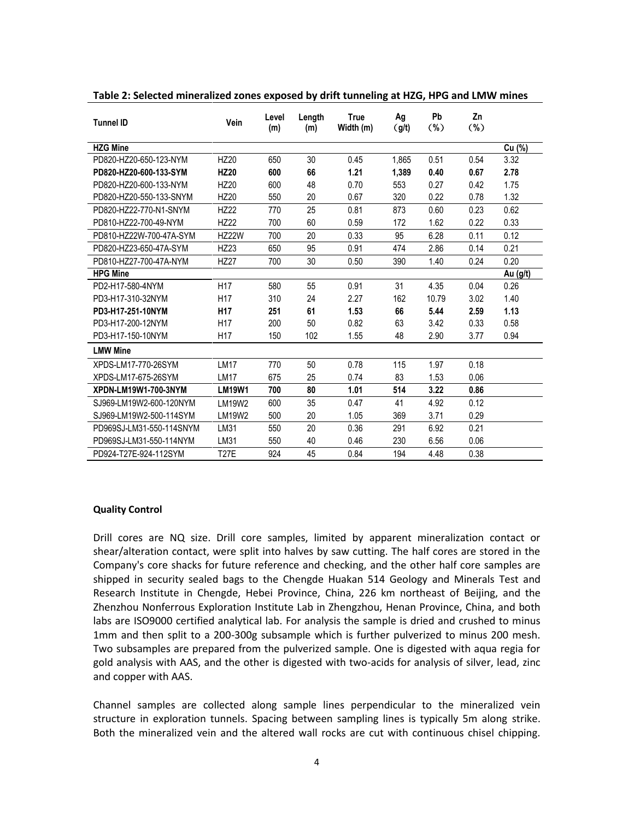| <b>Tunnel ID</b>          | Vein            | Level<br>(m) | Length<br>(m) | <b>True</b><br>Width (m) | Aq<br>(g/t) | Pb<br>( %) | Zn<br>( %) |          |
|---------------------------|-----------------|--------------|---------------|--------------------------|-------------|------------|------------|----------|
| <b>HZG Mine</b>           |                 |              |               |                          |             |            |            | Cu (%)   |
| PD820-HZ20-650-123-NYM    | <b>HZ20</b>     | 650          | 30            | 0.45                     | 1,865       | 0.51       | 0.54       | 3.32     |
| PD820-HZ20-600-133-SYM    | <b>HZ20</b>     | 600          | 66            | 1.21                     | 1,389       | 0.40       | 0.67       | 2.78     |
| PD820-HZ20-600-133-NYM    | <b>HZ20</b>     | 600          | 48            | 0.70                     | 553         | 0.27       | 0.42       | 1.75     |
| PD820-HZ20-550-133-SNYM   | <b>HZ20</b>     | 550          | 20            | 0.67                     | 320         | 0.22       | 0.78       | 1.32     |
| PD820-HZ22-770-N1-SNYM    | <b>HZ22</b>     | 770          | 25            | 0.81                     | 873         | 0.60       | 0.23       | 0.62     |
| PD810-HZ22-700-49-NYM     | <b>HZ22</b>     | 700          | 60            | 0.59                     | 172         | 1.62       | 0.22       | 0.33     |
| PD810-HZ22W-700-47A-SYM   | <b>HZ22W</b>    | 700          | 20            | 0.33                     | 95          | 6.28       | 0.11       | 0.12     |
| PD820-HZ23-650-47A-SYM    | HZ23            | 650          | 95            | 0.91                     | 474         | 2.86       | 0.14       | 0.21     |
| PD810-HZ27-700-47A-NYM    | <b>HZ27</b>     | 700          | 30            | 0.50                     | 390         | 1.40       | 0.24       | 0.20     |
| <b>HPG Mine</b>           |                 |              |               |                          |             |            |            | Au (g/t) |
| PD2-H17-580-4NYM          | H <sub>17</sub> | 580          | 55            | 0.91                     | 31          | 4.35       | 0.04       | 0.26     |
| PD3-H17-310-32NYM         | H <sub>17</sub> | 310          | 24            | 2.27                     | 162         | 10.79      | 3.02       | 1.40     |
| PD3-H17-251-10NYM         | H <sub>17</sub> | 251          | 61            | 1.53                     | 66          | 5.44       | 2.59       | 1.13     |
| PD3-H17-200-12NYM         | H <sub>17</sub> | 200          | 50            | 0.82                     | 63          | 3.42       | 0.33       | 0.58     |
| PD3-H17-150-10NYM         | H <sub>17</sub> | 150          | 102           | 1.55                     | 48          | 2.90       | 3.77       | 0.94     |
| <b>LMW Mine</b>           |                 |              |               |                          |             |            |            |          |
| XPDS-LM17-770-26SYM       | <b>LM17</b>     | 770          | 50            | 0.78                     | 115         | 1.97       | 0.18       |          |
| XPDS-LM17-675-26SYM       | <b>LM17</b>     | 675          | 25            | 0.74                     | 83          | 1.53       | 0.06       |          |
| XPDN-LM19W1-700-3NYM      | <b>LM19W1</b>   | 700          | 80            | 1.01                     | 514         | 3.22       | 0.86       |          |
| SJ969-LM19W2-600-120NYM   | LM19W2          | 600          | 35            | 0.47                     | 41          | 4.92       | 0.12       |          |
| SJ969-LM19W2-500-114SYM   | LM19W2          | 500          | 20            | 1.05                     | 369         | 3.71       | 0.29       |          |
| PD969SJ-I M31-550-114SNYM | LM31            | 550          | 20            | 0.36                     | 291         | 6.92       | 0.21       |          |
| PD969SJ-LM31-550-114NYM   | LM31            | 550          | 40            | 0.46                     | 230         | 6.56       | 0.06       |          |
| PD924-T27E-924-112SYM     | <b>T27E</b>     | 924          | 45            | 0.84                     | 194         | 4.48       | 0.38       |          |

**Table 2: Selected mineralized zones exposed by drift tunneling at HZG, HPG and LMW mines**

#### **Quality Control**

Drill cores are NQ size. Drill core samples, limited by apparent mineralization contact or shear/alteration contact, were split into halves by saw cutting. The half cores are stored in the Company's core shacks for future reference and checking, and the other half core samples are shipped in security sealed bags to the Chengde Huakan 514 Geology and Minerals Test and Research Institute in Chengde, Hebei Province, China, 226 km northeast of Beijing, and the Zhenzhou Nonferrous Exploration Institute Lab in Zhengzhou, Henan Province, China, and both labs are ISO9000 certified analytical lab. For analysis the sample is dried and crushed to minus 1mm and then split to a 200-300g subsample which is further pulverized to minus 200 mesh. Two subsamples are prepared from the pulverized sample. One is digested with aqua regia for gold analysis with AAS, and the other is digested with two-acids for analysis of silver, lead, zinc and copper with AAS.

Channel samples are collected along sample lines perpendicular to the mineralized vein structure in exploration tunnels. Spacing between sampling lines is typically 5m along strike. Both the mineralized vein and the altered wall rocks are cut with continuous chisel chipping.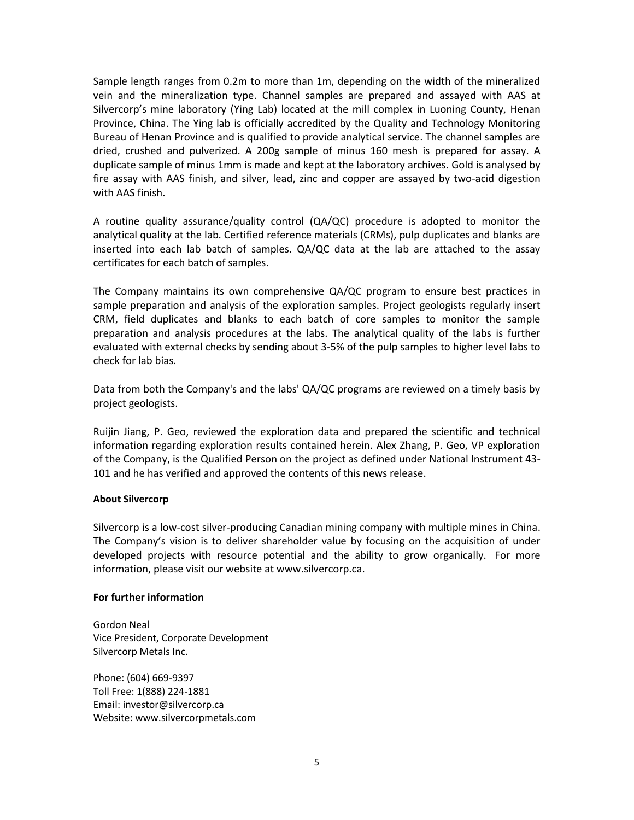Sample length ranges from 0.2m to more than 1m, depending on the width of the mineralized vein and the mineralization type. Channel samples are prepared and assayed with AAS at Silvercorp's mine laboratory (Ying Lab) located at the mill complex in Luoning County, Henan Province, China. The Ying lab is officially accredited by the Quality and Technology Monitoring Bureau of Henan Province and is qualified to provide analytical service. The channel samples are dried, crushed and pulverized. A 200g sample of minus 160 mesh is prepared for assay. A duplicate sample of minus 1mm is made and kept at the laboratory archives. Gold is analysed by fire assay with AAS finish, and silver, lead, zinc and copper are assayed by two-acid digestion with AAS finish.

A routine quality assurance/quality control (QA/QC) procedure is adopted to monitor the analytical quality at the lab. Certified reference materials (CRMs), pulp duplicates and blanks are inserted into each lab batch of samples. QA/QC data at the lab are attached to the assay certificates for each batch of samples.

The Company maintains its own comprehensive QA/QC program to ensure best practices in sample preparation and analysis of the exploration samples. Project geologists regularly insert CRM, field duplicates and blanks to each batch of core samples to monitor the sample preparation and analysis procedures at the labs. The analytical quality of the labs is further evaluated with external checks by sending about 3-5% of the pulp samples to higher level labs to check for lab bias.

Data from both the Company's and the labs' QA/QC programs are reviewed on a timely basis by project geologists.

Ruijin Jiang, P. Geo, reviewed the exploration data and prepared the scientific and technical information regarding exploration results contained herein. Alex Zhang, P. Geo, VP exploration of the Company, is the Qualified Person on the project as defined under National Instrument 43- 101 and he has verified and approved the contents of this news release.

### **About Silvercorp**

Silvercorp is a low-cost silver-producing Canadian mining company with multiple mines in China. The Company's vision is to deliver shareholder value by focusing on the acquisition of under developed projects with resource potential and the ability to grow organically. For more information, please visit our website at www.silvercorp.ca.

### **For further information**

Gordon Neal Vice President, Corporate Development Silvercorp Metals Inc.

Phone: (604) 669-9397 Toll Free: 1(888) 224-1881 Email: investor@silvercorp.ca Website: www.silvercorpmetals.com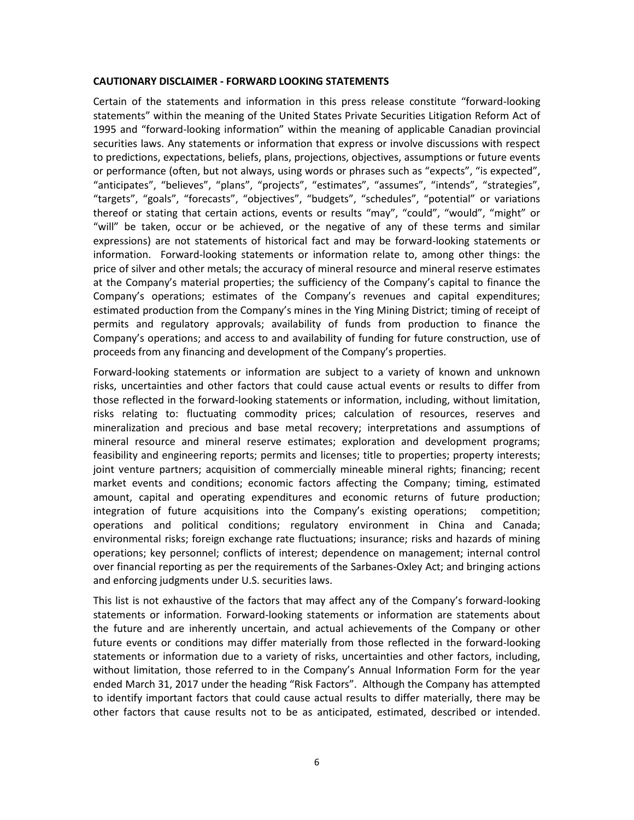#### **CAUTIONARY DISCLAIMER - FORWARD LOOKING STATEMENTS**

Certain of the statements and information in this press release constitute "forward-looking statements" within the meaning of the United States Private Securities Litigation Reform Act of 1995 and "forward-looking information" within the meaning of applicable Canadian provincial securities laws. Any statements or information that express or involve discussions with respect to predictions, expectations, beliefs, plans, projections, objectives, assumptions or future events or performance (often, but not always, using words or phrases such as "expects", "is expected", "anticipates", "believes", "plans", "projects", "estimates", "assumes", "intends", "strategies", "targets", "goals", "forecasts", "objectives", "budgets", "schedules", "potential" or variations thereof or stating that certain actions, events or results "may", "could", "would", "might" or "will" be taken, occur or be achieved, or the negative of any of these terms and similar expressions) are not statements of historical fact and may be forward-looking statements or information. Forward-looking statements or information relate to, among other things: the price of silver and other metals; the accuracy of mineral resource and mineral reserve estimates at the Company's material properties; the sufficiency of the Company's capital to finance the Company's operations; estimates of the Company's revenues and capital expenditures; estimated production from the Company's mines in the Ying Mining District; timing of receipt of permits and regulatory approvals; availability of funds from production to finance the Company's operations; and access to and availability of funding for future construction, use of proceeds from any financing and development of the Company's properties.

Forward-looking statements or information are subject to a variety of known and unknown risks, uncertainties and other factors that could cause actual events or results to differ from those reflected in the forward-looking statements or information, including, without limitation, risks relating to: fluctuating commodity prices; calculation of resources, reserves and mineralization and precious and base metal recovery; interpretations and assumptions of mineral resource and mineral reserve estimates; exploration and development programs; feasibility and engineering reports; permits and licenses; title to properties; property interests; joint venture partners; acquisition of commercially mineable mineral rights; financing; recent market events and conditions; economic factors affecting the Company; timing, estimated amount, capital and operating expenditures and economic returns of future production; integration of future acquisitions into the Company's existing operations; competition; operations and political conditions; regulatory environment in China and Canada; environmental risks; foreign exchange rate fluctuations; insurance; risks and hazards of mining operations; key personnel; conflicts of interest; dependence on management; internal control over financial reporting as per the requirements of the Sarbanes-Oxley Act; and bringing actions and enforcing judgments under U.S. securities laws.

This list is not exhaustive of the factors that may affect any of the Company's forward-looking statements or information. Forward-looking statements or information are statements about the future and are inherently uncertain, and actual achievements of the Company or other future events or conditions may differ materially from those reflected in the forward-looking statements or information due to a variety of risks, uncertainties and other factors, including, without limitation, those referred to in the Company's Annual Information Form for the year ended March 31, 2017 under the heading "Risk Factors". Although the Company has attempted to identify important factors that could cause actual results to differ materially, there may be other factors that cause results not to be as anticipated, estimated, described or intended.